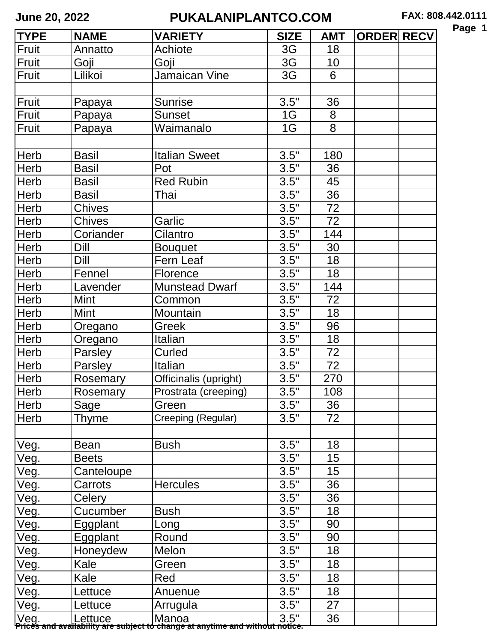| а<br>ю<br>h |  |
|-------------|--|
|-------------|--|

| <b>TYPE</b> | <b>NAME</b>     | <b>VARIETY</b>                                                                                         | <b>SIZE</b>          | <b>AMT</b> | <b>ORDER RECV</b> |  |
|-------------|-----------------|--------------------------------------------------------------------------------------------------------|----------------------|------------|-------------------|--|
| Fruit       | Annatto         | Achiote                                                                                                | 3G                   | 18         |                   |  |
| Fruit       | Goji            | Goji                                                                                                   | 3G                   | 10         |                   |  |
| Fruit       | Lilikoi         | Jamaican Vine                                                                                          | 3G                   | 6          |                   |  |
|             |                 |                                                                                                        |                      |            |                   |  |
| Fruit       | Papaya          | <b>Sunrise</b>                                                                                         | 3.5"                 | 36         |                   |  |
| Fruit       | Papaya          | <b>Sunset</b>                                                                                          | 1G                   | 8          |                   |  |
| Fruit       | Papaya          | Waimanalo                                                                                              | 1G                   | 8          |                   |  |
|             |                 |                                                                                                        |                      |            |                   |  |
| Herb        | <b>Basil</b>    | <b>Italian Sweet</b>                                                                                   | 3.5"                 | 180        |                   |  |
| Herb        | Basil           | Pot                                                                                                    | 3.5"                 | 36         |                   |  |
| Herb        | <b>Basil</b>    | <b>Red Rubin</b>                                                                                       | 3.5"                 | 45         |                   |  |
| Herb        | Basil           | Thai                                                                                                   | 3.5"                 | 36         |                   |  |
| Herb        | <b>Chives</b>   |                                                                                                        | 3.5"                 | 72         |                   |  |
| Herb        | <b>Chives</b>   | Garlic                                                                                                 | 3.5"                 | 72         |                   |  |
| Herb        | Coriander       | Cilantro                                                                                               | 3.5"                 | 144        |                   |  |
| Herb        | Dill            | <b>Bouquet</b>                                                                                         | 3.5"                 | 30         |                   |  |
| Herb        | Dill            | Fern Leaf                                                                                              | 3.5"                 | 18         |                   |  |
| Herb        | Fennel          | Florence                                                                                               | 3.5"                 | 18         |                   |  |
| Herb        | Lavender        | <b>Munstead Dwarf</b>                                                                                  | $3.5^{\overline{1}}$ | 144        |                   |  |
| Herb        | Mint            | Common                                                                                                 | 3.5"                 | 72         |                   |  |
| Herb        | <b>Mint</b>     | Mountain                                                                                               | 3.5"                 | 18         |                   |  |
| Herb        | Oregano         | Greek                                                                                                  | 3.5"                 | 96         |                   |  |
| Herb        | Oregano         | Italian                                                                                                | 3.5"                 | 18         |                   |  |
| Herb        | Parsley         | Curled                                                                                                 | 3.5"                 | 72         |                   |  |
| Herb        | Parsley         | Italian                                                                                                | 3.5"                 | 72         |                   |  |
| Herb        | Rosemary        | Officinalis (upright)                                                                                  | 3.5"                 | 270        |                   |  |
| Herb        | <b>Rosemary</b> | Prostrata (creeping)                                                                                   | 3.5"                 | 108        |                   |  |
| Herb        | Sage            | Green                                                                                                  | 3.5"                 | 36         |                   |  |
| Herb        | Thyme           | Creeping (Regular)                                                                                     | 3.5"                 | 72         |                   |  |
|             |                 |                                                                                                        |                      |            |                   |  |
| Veg.        | <b>Bean</b>     | <b>Bush</b>                                                                                            | 3.5"                 | 18         |                   |  |
| Veg.        | <b>Beets</b>    |                                                                                                        | 3.5"                 | 15         |                   |  |
| Veg.        | Canteloupe      |                                                                                                        | 3.5"                 | 15         |                   |  |
| Veg.        | Carrots         | <b>Hercules</b>                                                                                        | 3.5"                 | 36         |                   |  |
| Veg.        | Celery          |                                                                                                        | 3.5"                 | 36         |                   |  |
| Veg.        | Cucumber        | Bush                                                                                                   | 3.5"                 | 18         |                   |  |
| Veg.        | Eggplant        | Long                                                                                                   | 3.5"                 | 90         |                   |  |
| Veg.        | Eggplant        | Round                                                                                                  | 3.5"                 | 90         |                   |  |
| Veg.        | Honeydew        | Melon                                                                                                  | 3.5"                 | 18         |                   |  |
| Veg.        | Kale            | Green                                                                                                  | 3.5"                 | 18         |                   |  |
| Veg.        | Kale            | Red                                                                                                    | 3.5"                 | 18         |                   |  |
| Veg         | _ettuce         | Anuenue                                                                                                | 3.5"                 | 18         |                   |  |
| Veg.        | _ettuce         | Arrugula                                                                                               | 3.5"                 | 27         |                   |  |
|             |                 | Veg.  Lettuce  Manoa  <br>Prices and availability are subject to change at anytime and without notice. |                      | 36         |                   |  |
|             |                 |                                                                                                        |                      |            |                   |  |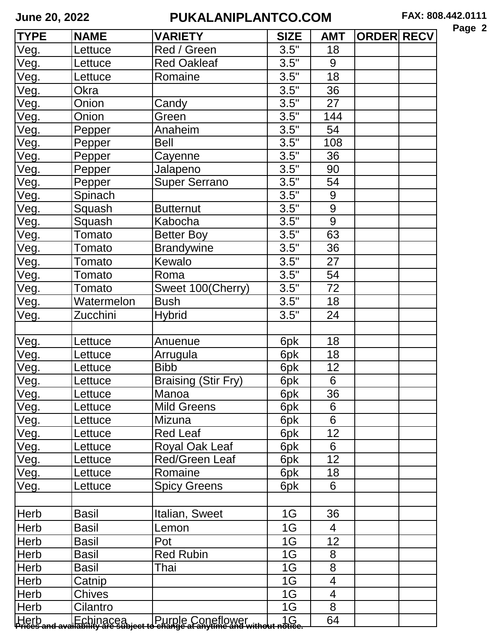| ٠,<br>a<br>ıΩ |  |
|---------------|--|
|---------------|--|

| <b>TYPE</b>                           | <b>NAME</b>  | <b>VARIETY</b>                                                                                      | <b>SIZE</b>   | <b>AMT</b>               | <b>ORDER RECV</b> |  |
|---------------------------------------|--------------|-----------------------------------------------------------------------------------------------------|---------------|--------------------------|-------------------|--|
| Veg.                                  | Lettuce      | Red / Green                                                                                         | 3.5"          | 18                       |                   |  |
| <u>Veg.</u>                           | Lettuce      | <b>Red Oakleaf</b>                                                                                  | 3.5"          | 9                        |                   |  |
| Veg.                                  | Lettuce      | Romaine                                                                                             | 3.5"          | 18                       |                   |  |
| Veg.                                  | Okra         |                                                                                                     | 3.5"          | 36                       |                   |  |
| Veg.                                  | Onion        | Candy                                                                                               | 3.5"          | 27                       |                   |  |
| Veg.                                  | Onion        | Green                                                                                               | 3.5"          | 144                      |                   |  |
| Veg.                                  | Pepper       | Anaheim                                                                                             | 3.5"          | 54                       |                   |  |
| Veg.                                  | Pepper       | <b>Bell</b>                                                                                         | 3.5"          | 108                      |                   |  |
| Veg.                                  | Pepper       | Cayenne                                                                                             | 3.5"          | 36                       |                   |  |
| Veg.                                  | Pepper       | Jalapeno                                                                                            | 3.5"          | 90                       |                   |  |
| Veg.                                  | Pepper       | <b>Super Serrano</b>                                                                                | 3.5"          | 54                       |                   |  |
| Veg.                                  | Spinach      |                                                                                                     | 3.5"          | 9                        |                   |  |
| Veg.                                  | Squash       | <b>Butternut</b>                                                                                    | 3.5"          | $\boldsymbol{9}$         |                   |  |
| Veg.                                  | Squash       | Kabocha                                                                                             | 3.5"          | 9                        |                   |  |
| Veg.                                  | Tomato       | <b>Better Boy</b>                                                                                   | 3.5"          | 63                       |                   |  |
| <u>Veg.</u>                           | Tomato       | <b>Brandywine</b>                                                                                   | 3.5"          | 36                       |                   |  |
| Veg.                                  | Tomato       | Kewalo                                                                                              | 3.5"          | 27                       |                   |  |
| Veg.                                  | Tomato       | Roma                                                                                                | $3.5^{\circ}$ | 54                       |                   |  |
| Veg.                                  | Tomato       | Sweet 100(Cherry)                                                                                   | 3.5"          | 72                       |                   |  |
| Veg.                                  | Watermelon   | <b>Bush</b>                                                                                         | 3.5"          | 18                       |                   |  |
| Veg.                                  | Zucchini     | <b>Hybrid</b>                                                                                       | 3.5"          | 24                       |                   |  |
|                                       |              |                                                                                                     |               |                          |                   |  |
| Veg.                                  | Lettuce      | Anuenue                                                                                             | 6pk           | 18                       |                   |  |
| Veg.                                  | ettuce.      | Arrugula                                                                                            | 6pk           | 18                       |                   |  |
| Veg.                                  | .ettuce      | <b>Bibb</b>                                                                                         | 6pk           | 12                       |                   |  |
| Veg.                                  | Lettuce      | <b>Braising (Stir Fry)</b>                                                                          | 6pk           | 6                        |                   |  |
| Veq.                                  | Lettuce      | Manoa                                                                                               | 6pk           | 36                       |                   |  |
| Veg.                                  | ettuce.      | <b>Mild Greens</b>                                                                                  | 6pk           | 6                        |                   |  |
| Veg.                                  | ettuce.      | Mizuna                                                                                              | 6pk           | 6                        |                   |  |
| Veg.                                  | ettuce.      | Red Leaf                                                                                            | 6pk           | 12                       |                   |  |
| Veg.                                  | ettuce.      | Royal Oak Leaf                                                                                      | 6pk           | 6                        |                   |  |
| Veg.                                  | ettuce.      | <b>Red/Green Leaf</b>                                                                               | 6pk           | 12                       |                   |  |
| Veg.                                  | _ettuce      | Romaine                                                                                             | 6pk           | 18                       |                   |  |
| Veg.                                  | .ettuce      | <b>Spicy Greens</b>                                                                                 | 6pk           | 6                        |                   |  |
|                                       |              |                                                                                                     |               |                          |                   |  |
| Herb                                  | Basil        | Italian, Sweet                                                                                      | 1G            | 36                       |                   |  |
| Herb                                  | <b>Basil</b> | Lemon                                                                                               | 1G            | $\overline{4}$           |                   |  |
| Herb                                  | Basil        | Pot                                                                                                 | 1G            | 12                       |                   |  |
| Herb                                  | Basil        | <b>Red Rubin</b>                                                                                    | 1G            | 8                        |                   |  |
| Herb                                  | Basil        | Thai                                                                                                | 1G            | 8                        |                   |  |
| Herb                                  | Catnip       |                                                                                                     | 1G            | $\overline{\mathcal{A}}$ |                   |  |
| Herb                                  | Chives       |                                                                                                     | 1G            | $\overline{4}$           |                   |  |
| Herb                                  | Cilantro     |                                                                                                     | 1G            | 8                        |                   |  |
| Herb<br>  <del>Prices and ava</del> i |              | Echinacea   Purple Coneflower   1G<br>Hability are subject to change at anytime and without notice. |               | 64                       |                   |  |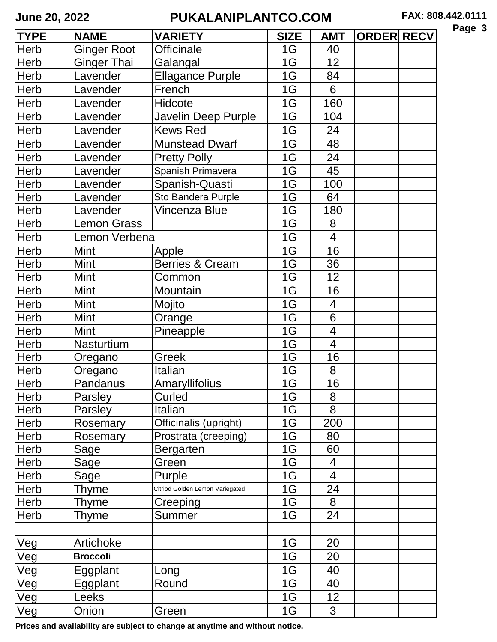| ล<br>L.<br>ю<br>IД |  |
|--------------------|--|
|--------------------|--|

| <b>TYPE</b> | <b>NAME</b>        | <b>VARIETY</b>                  | <b>SIZE</b> | <b>AMT</b>      | <b>ORDER RECV</b> |  |
|-------------|--------------------|---------------------------------|-------------|-----------------|-------------------|--|
| <b>Herb</b> | Ginger Root        | <b>Officinale</b>               | 1G          | 40              |                   |  |
| <b>Herb</b> | Ginger Thai        | Galangal                        | 1G          | 12              |                   |  |
| <b>Herb</b> | Lavender           | <b>Ellagance Purple</b>         | 1G          | 84              |                   |  |
| <b>Herb</b> | Lavender           | French                          | 1G          | 6               |                   |  |
| Herb        | Lavender           | Hidcote                         | 1G          | 160             |                   |  |
| <b>Herb</b> | Lavender           | Javelin Deep Purple             | 1G          | 104             |                   |  |
| Herb        | Lavender           | <b>Kews Red</b>                 | 1G          | 24              |                   |  |
| <b>Herb</b> | Lavender           | <b>Munstead Dwarf</b>           | 1G          | 48              |                   |  |
| <b>Herb</b> | Lavender           | <b>Pretty Polly</b>             | 1G          | 24              |                   |  |
| Herb        | Lavender           | Spanish Primavera               | 1G          | 45              |                   |  |
| <b>Herb</b> | Lavender           | Spanish-Quasti                  | 1G          | 100             |                   |  |
| <b>Herb</b> | Lavender           | Sto Bandera Purple              | 1G          | 64              |                   |  |
| <b>Herb</b> | Lavender           | Vincenza Blue                   | 1G          | 180             |                   |  |
| <b>Herb</b> | <b>Lemon Grass</b> |                                 | 1G          | 8               |                   |  |
| <b>Herb</b> | Lemon Verbena      |                                 | 1G          | $\overline{4}$  |                   |  |
| <b>Herb</b> | <b>Mint</b>        | Apple                           | 1G          | 16              |                   |  |
| <b>Herb</b> | Mint               | <b>Berries &amp; Cream</b>      | 1G          | 36              |                   |  |
| Herb        | <b>Mint</b>        | Common                          | 1G          | 12              |                   |  |
| <b>Herb</b> | <b>Mint</b>        | Mountain                        | 1G          | 16              |                   |  |
| <b>Herb</b> | Mint               | Mojito                          | 1G          | $\overline{4}$  |                   |  |
| <b>Herb</b> | <b>Mint</b>        | Orange                          | 1G          | $6\phantom{1}$  |                   |  |
| Herb        | Mint               | Pineapple                       | 1G          | $\overline{4}$  |                   |  |
| <b>Herb</b> | Nasturtium         |                                 | 1G          | $\overline{4}$  |                   |  |
| <b>Herb</b> | Oregano            | Greek                           | 1G          | 16              |                   |  |
| <b>Herb</b> | Oregano            | Italian                         | 1G          | 8               |                   |  |
| Herb        | Pandanus           | Amaryllifolius                  | 1G          | 16              |                   |  |
| Herb        | Parsley            | Curled                          | 1G          | 8               |                   |  |
| Herb        | Parsley            | Italian                         | 1G          | 8               |                   |  |
| Herb        | Rosemary           | Officinalis (upright)           | 1G          | 200             |                   |  |
| <b>Herb</b> | Rosemary           | Prostrata (creeping)            | 1G          | 80              |                   |  |
| Herb        | Sage               | Bergarten                       | 1G          | 60              |                   |  |
| Herb        | Sage               | Green                           | 1G          | $\overline{4}$  |                   |  |
| Herb        | Sage               | Purple                          | 1G          | $\overline{4}$  |                   |  |
| <b>Herb</b> | Thyme              | Citriod Golden Lemon Variegated | 1G          | 24              |                   |  |
| Herb        | Thyme              | Creeping                        | 1G          | 8               |                   |  |
| Herb        | Thyme              | Summer                          | 1G          | 24              |                   |  |
|             |                    |                                 |             |                 |                   |  |
| <b>Veg</b>  | Artichoke          |                                 | 1G          | 20              |                   |  |
| Veg         | <b>Broccoli</b>    |                                 | 1G          | 20              |                   |  |
| <b>Veg</b>  | Eggplant           | Long                            | 1G          | 40              |                   |  |
| <b>Veg</b>  | Eggplant           | Round                           | 1G          | 40              |                   |  |
| <b>Veg</b>  | Leeks              |                                 | 1G          | 12 <sub>2</sub> |                   |  |
| <b>Veg</b>  | Onion              | Green                           | 1G          | 3               |                   |  |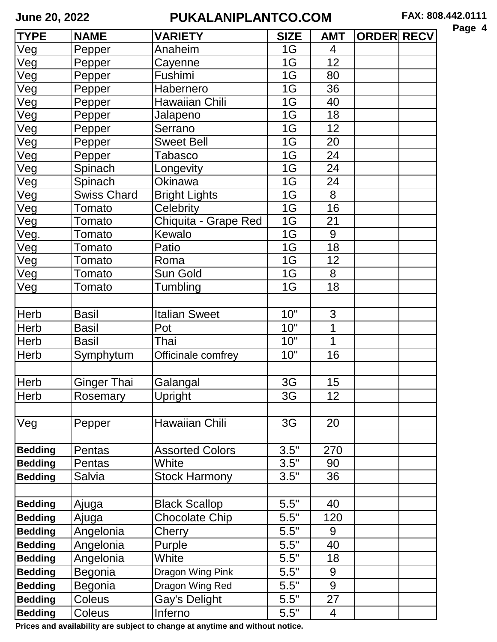| а<br>ю<br>70 |  |
|--------------|--|
|--------------|--|

| <b>TYPE</b>    | <b>NAME</b>        | <b>VARIETY</b>         | <b>SIZE</b> | <b>AMT</b> | <b>ORDER RECV</b> |  |
|----------------|--------------------|------------------------|-------------|------------|-------------------|--|
| Veg            | Pepper             | Anaheim                | 1G          | 4          |                   |  |
| Veg            | Pepper             | Cayenne                | 1G          | 12         |                   |  |
| Veg            | Pepper             | Fushimi                | 1G          | 80         |                   |  |
| Veg            | Pepper             | Habernero              | 1G          | 36         |                   |  |
| Veg            | Pepper             | Hawaiian Chili         | 1G          | 40         |                   |  |
| Veg            | Pepper             | Jalapeno               | 1G          | 18         |                   |  |
| Veg            | Pepper             | Serrano                | 1G          | 12         |                   |  |
| Veg            | Pepper             | <b>Sweet Bell</b>      | 1G          | 20         |                   |  |
| Veg            | Pepper             | Tabasco                | 1G          | 24         |                   |  |
| Veg            | Spinach            | Longevity              | 1G          | 24         |                   |  |
| Veg            | Spinach            | Okinawa                | 1G          | 24         |                   |  |
| Veg            | <b>Swiss Chard</b> | <b>Bright Lights</b>   | 1G          | 8          |                   |  |
| Veg            | Tomato             | Celebrity              | 1G          | 16         |                   |  |
| Veg            | Tomato             | Chiquita - Grape Red   | 1G          | 21         |                   |  |
| Veg            | Tomato             | Kewalo                 | 1G          | 9          |                   |  |
| Veg            | Tomato             | Patio                  | 1G          | 18         |                   |  |
| Veg            | Tomato             | Roma                   | 1G          | 12         |                   |  |
| Veg            | Tomato             | Sun Gold               | 1G          | 8          |                   |  |
| Veg            | Tomato             | Tumbling               | 1G          | 18         |                   |  |
|                |                    |                        |             |            |                   |  |
| Herb           | <b>Basil</b>       | <b>Italian Sweet</b>   | 10"         | 3          |                   |  |
| <b>Herb</b>    | <b>Basil</b>       | Pot                    | 10"         | 1          |                   |  |
| <b>Herb</b>    | <b>Basil</b>       | Thai                   | 10"         | 1          |                   |  |
| Herb           | Symphytum          | Officinale comfrey     | 10"         | 16         |                   |  |
|                |                    |                        |             |            |                   |  |
| Herb           | <b>Ginger Thai</b> | Galangal               | 3G          | 15         |                   |  |
| <b>Herb</b>    | Rosemary           | Upright                | 3G          | 12         |                   |  |
|                |                    |                        |             |            |                   |  |
| Veg            | Pepper             | Hawaiian Chili         | 3G          | 20         |                   |  |
|                |                    |                        |             |            |                   |  |
| <b>Bedding</b> | Pentas             | <b>Assorted Colors</b> | 3.5"        | 270        |                   |  |
| <b>Bedding</b> | Pentas             | White                  | 3.5"        | 90         |                   |  |
| <b>Bedding</b> | Salvia             | <b>Stock Harmony</b>   | 3.5"        | 36         |                   |  |
|                |                    |                        |             |            |                   |  |
| <b>Bedding</b> | Ajuga              | <b>Black Scallop</b>   | 5.5"        | 40         |                   |  |
| <b>Bedding</b> | Ajuga              | <b>Chocolate Chip</b>  | 5.5"        | 120        |                   |  |
| <b>Bedding</b> | Angelonia          | Cherry                 | 5.5"        | 9          |                   |  |
| <b>Bedding</b> | Angelonia          | Purple                 | 5.5"        | 40         |                   |  |
| <b>Bedding</b> | Angelonia          | White                  | 5.5"        | 18         |                   |  |
| <b>Bedding</b> | Begonia            | Dragon Wing Pink       | 5.5"        | 9          |                   |  |
| <b>Bedding</b> | Begonia            | Dragon Wing Red        | 5.5"        | 9          |                   |  |
| <b>Bedding</b> | Coleus             | Gay's Delight          | 5.5"        | 27         |                   |  |
| <b>Bedding</b> | Coleus             | Inferno                | 5.5"        | 4          |                   |  |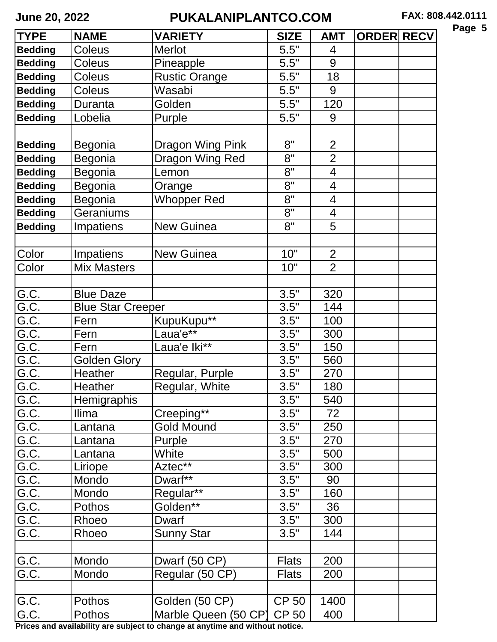| ıΟ<br>ı<br>c<br>'n |  |
|--------------------|--|
|--------------------|--|

| <b>TYPE</b>        | <b>NAME</b>              | <b>VARIETY</b>             | <b>SIZE</b>  | <b>AMT</b>               | <b>ORDER RECV</b> |  |
|--------------------|--------------------------|----------------------------|--------------|--------------------------|-------------------|--|
| <b>Bedding</b>     | <b>Coleus</b>            | <b>Merlot</b>              | 5.5"         | 4                        |                   |  |
| <b>Bedding</b>     | <b>Coleus</b>            | Pineapple                  | 5.5"         | 9                        |                   |  |
| <b>Bedding</b>     | <b>Coleus</b>            | <b>Rustic Orange</b>       | 5.5"         | 18                       |                   |  |
| <b>Bedding</b>     | <b>Coleus</b>            | Wasabi                     | 5.5"         | 9                        |                   |  |
| <b>Bedding</b>     | Duranta                  | Golden                     | 5.5"         | 120                      |                   |  |
| <b>Bedding</b>     | Lobelia                  | Purple                     | 5.5"         | 9                        |                   |  |
|                    |                          |                            |              |                          |                   |  |
| <b>Bedding</b>     | Begonia                  | Dragon Wing Pink           | 8"           | $\overline{2}$           |                   |  |
| <b>Bedding</b>     | Begonia                  | Dragon Wing Red            | 8"           | $\overline{2}$           |                   |  |
| <b>Bedding</b>     | Begonia                  | Lemon                      | 8"           | $\overline{4}$           |                   |  |
| <b>Bedding</b>     | Begonia                  | Orange                     | 8"           | $\overline{4}$           |                   |  |
| <b>Bedding</b>     | Begonia                  | <b>Whopper Red</b>         | 8"           | $\overline{\mathcal{A}}$ |                   |  |
| <b>Bedding</b>     | Geraniums                |                            | 8"           | $\overline{4}$           |                   |  |
| <b>Bedding</b>     | Impatiens                | <b>New Guinea</b>          | 8"           | 5                        |                   |  |
|                    |                          |                            |              |                          |                   |  |
| Color              | Impatiens                | <b>New Guinea</b>          | 10"          | $\overline{2}$           |                   |  |
| Color              | <b>Mix Masters</b>       |                            | 10"          | $\overline{2}$           |                   |  |
|                    |                          |                            |              |                          |                   |  |
| $G.\overline{C}$ . | <b>Blue Daze</b>         |                            | 3.5"         | 320                      |                   |  |
| G.C.               | <b>Blue Star Creeper</b> |                            | 3.5"         | 144                      |                   |  |
| G.C.               | Fern                     | KupuKupu**                 | 3.5"         | 100                      |                   |  |
| G.C.               | Fern                     | $a$ ua'e $*$               | 3.5"         | 300                      |                   |  |
| G.C.               | Fern                     | Laua'e Iki**               | 3.5"         | 150                      |                   |  |
| G.C.               | Golden Glory             |                            | 3.5"         | 560                      |                   |  |
| G.C.               | Heather                  | Regular, Purple            | 3.5"         | 270                      |                   |  |
| G.C.               | Heather                  | Regular, White             | 3.5"         | 180                      |                   |  |
| G.C.<br>G.C.       | <b>Hemigraphis</b>       |                            | 3.5"         | 540                      |                   |  |
|                    | <b>Ilima</b>             | Creeping**                 | 3.5"         | 72                       |                   |  |
| G.C.               | Lantana                  | Gold Mound                 | 3.5"         | 250                      |                   |  |
| G.C.               | Lantana                  | Purple                     | 3.5"         | 270                      |                   |  |
| G.C.               | Lantana                  | White                      | 3.5"         | 500                      |                   |  |
| G.C.               | Liriope                  | Aztec**                    | 3.5"         | 300                      |                   |  |
| G.C.               | Mondo                    | Dwarf**                    | 3.5"         | 90                       |                   |  |
| G.C.               | Mondo                    | Regular**                  | 3.5"         | 160                      |                   |  |
| G.C.               | Pothos                   | Golden**                   | 3.5"         | 36                       |                   |  |
| G.C.               | Rhoeo                    | Dwarf                      | 3.5"         | 300                      |                   |  |
| G.C.               | Rhoeo                    | <b>Sunny Star</b>          | 3.5"         | 144                      |                   |  |
|                    |                          |                            |              |                          |                   |  |
| G.C.               | Mondo                    | Dwarf (50 CP)              | <b>Flats</b> | 200                      |                   |  |
| G.C.               | Mondo                    | Regular (50 CP)            | <b>Flats</b> | 200                      |                   |  |
|                    |                          |                            |              |                          |                   |  |
| G.C.               | <b>Pothos</b>            | Golden (50 CP)             | <b>CP 50</b> | 1400                     |                   |  |
| G.C.               | Pothos                   | Marble Queen (50 CP) CP 50 |              | 400                      |                   |  |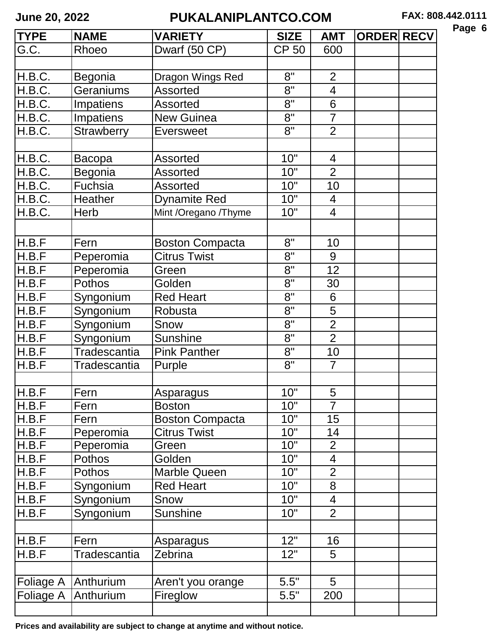| Ю<br>r<br>., |  |
|--------------|--|
|--------------|--|

| <b>TYPE</b> | <b>NAME</b>         | <b>VARIETY</b>         | <b>SIZE</b>  | <b>AMT</b>               | <b>ORDER RECV</b> |  |
|-------------|---------------------|------------------------|--------------|--------------------------|-------------------|--|
| G.C.        | Rhoeo               | Dwarf (50 CP)          | <b>CP 50</b> | 600                      |                   |  |
|             |                     |                        |              |                          |                   |  |
| H.B.C.      | Begonia             | Dragon Wings Red       | 8"           | $\overline{2}$           |                   |  |
| H.B.C.      | Geraniums           | <b>Assorted</b>        | 8"           | 4                        |                   |  |
| H.B.C.      | Impatiens           | <b>Assorted</b>        | 8"           | 6                        |                   |  |
| H.B.C.      | Impatiens           | <b>New Guinea</b>      | 8"           | $\overline{7}$           |                   |  |
| H.B.C.      | Strawberry          | <b>Eversweet</b>       | 8"           | $\overline{2}$           |                   |  |
|             |                     |                        |              |                          |                   |  |
| H.B.C.      | <b>Bacopa</b>       | Assorted               | 10"          | $\overline{4}$           |                   |  |
| H.B.C.      | Begonia             | <b>Assorted</b>        | 10"          | $\overline{2}$           |                   |  |
| H.B.C.      | Fuchsia             | <b>Assorted</b>        | 10"          | 10                       |                   |  |
| H.B.C.      | Heather             | <b>Dynamite Red</b>    | 10"          | $\overline{4}$           |                   |  |
| H.B.C.      | Herb                | Mint /Oregano /Thyme   | 10"          | 4                        |                   |  |
|             |                     |                        |              |                          |                   |  |
| H.B.F       | Fern                | <b>Boston Compacta</b> | 8"           | 10                       |                   |  |
| H.B.F       | Peperomia           | Citrus Twist           | 8"           | 9                        |                   |  |
| H.B.F       | Peperomia           | Green                  | $8^{\circ}$  | 12                       |                   |  |
| H.B.F       | Pothos              | Golden                 | 8"           | 30                       |                   |  |
| H.B.F       | Syngonium           | <b>Red Heart</b>       | 8"           | 6                        |                   |  |
| H.B.F       | Syngonium           | Robusta                | 8"           | 5                        |                   |  |
| H.B.F       | Syngonium           | Snow                   | 8"           | $\overline{2}$           |                   |  |
| H.B.F       | Syngonium           | <b>Sunshine</b>        | 8"           | $\overline{2}$           |                   |  |
| H.B.F       | <b>Tradescantia</b> | <b>Pink Panther</b>    | 8"           | 10                       |                   |  |
| H.B.F       | Tradescantia        | Purple                 | 8"           | $\overline{7}$           |                   |  |
|             |                     |                        |              |                          |                   |  |
| H.B.F       | Fern                | Asparagus              | 10"          | 5                        |                   |  |
| H.B.F       | Fern                | <b>Boston</b>          | 10"          | $\overline{7}$           |                   |  |
| H.B.F       | Fern                | <b>Boston Compacta</b> | 10"          | 15                       |                   |  |
| H.B.F       | Peperomia           | Citrus Twist           | 10"          | 14                       |                   |  |
| H.B.F       | Peperomia           | Green                  | 10"          | $\overline{2}$           |                   |  |
| H.B.F       | Pothos              | Golden                 | 10"          | $\overline{\mathcal{A}}$ |                   |  |
| H.B.F       | <b>Pothos</b>       | <b>Marble Queen</b>    | 10"          | $\overline{2}$           |                   |  |
| H.B.F       | Syngonium           | <b>Red Heart</b>       | 10"          | 8                        |                   |  |
| H.B.F       | Syngonium           | Snow                   | 10"          | $\overline{4}$           |                   |  |
| H.B.F       | Syngonium           | <b>Sunshine</b>        | 10"          | $\overline{2}$           |                   |  |
|             |                     |                        |              |                          |                   |  |
| H.B.F       | Fern                | Asparagus              | 12"          | 16                       |                   |  |
| H.B.F       | Tradescantia        | Zebrina                | 12"          | 5                        |                   |  |
|             |                     |                        |              |                          |                   |  |
| Foliage A   | Anthurium           | Aren't you orange      | 5.5"         | 5                        |                   |  |
| Foliage A   | Anthurium           | Fireglow               | 5.5"         | 200                      |                   |  |
|             |                     |                        |              |                          |                   |  |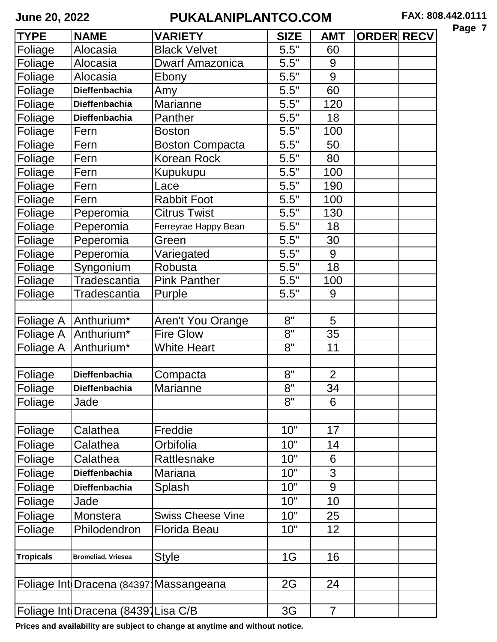| r<br>o s |  |
|----------|--|
|----------|--|

| <b>TYPE</b>      | <b>NAME</b>                            | <b>VARIETY</b>           | <b>SIZE</b>        | <b>AMT</b>     | <b>ORDER RECV</b> |  |
|------------------|----------------------------------------|--------------------------|--------------------|----------------|-------------------|--|
| Foliage          | Alocasia                               | <b>Black Velvet</b>      | 5.5"               | 60             |                   |  |
| Foliage          | Alocasia                               | <b>Dwarf Amazonica</b>   | 5.5"               | 9              |                   |  |
| Foliage          | Alocasia                               | Ebony                    | 5.5"               | 9              |                   |  |
| <b>Foliage</b>   | <b>Dieffenbachia</b>                   | Amy                      | 5.5"               | 60             |                   |  |
| Foliage          | Dieffenbachia                          | Marianne                 | 5.5"               | 120            |                   |  |
| Foliage          | <b>Dieffenbachia</b>                   | Panther                  | 5.5"               | 18             |                   |  |
| Foliage          | Fern                                   | <b>Boston</b>            | 5.5"               | 100            |                   |  |
| Foliage          | Fern                                   | <b>Boston Compacta</b>   | 5.5"               | 50             |                   |  |
| Foliage          | Fern                                   | Korean Rock              | $\overline{5.5}$ " | 80             |                   |  |
| Foliage          | Fern                                   | Kupukupu                 | 5.5"               | 100            |                   |  |
| Foliage          | Fern                                   | Lace                     | 5.5"               | 190            |                   |  |
| Foliage          | Fern                                   | <b>Rabbit Foot</b>       | 5.5"               | 100            |                   |  |
| Foliage          | Peperomia                              | <b>Citrus Twist</b>      | 5.5"               | 130            |                   |  |
| Foliage          | Peperomia                              | Ferreyrae Happy Bean     | 5.5"               | 18             |                   |  |
| Foliage          | Peperomia                              | Green                    | 5.5"               | 30             |                   |  |
| Foliage          | Peperomia                              | Variegated               | 5.5"               | 9              |                   |  |
| Foliage          | Syngonium                              | Robusta                  | 5.5"               | 18             |                   |  |
| Foliage          | Tradescantia                           | <b>Pink Panther</b>      | 5.5"               | 100            |                   |  |
| Foliage          | Tradescantia                           | Purple                   | 5.5"               | 9              |                   |  |
|                  |                                        |                          |                    |                |                   |  |
|                  | Foliage A   Anthurium*                 | Aren't You Orange        | 8"                 | 5              |                   |  |
| Foliage A        | Anthurium <sup>*</sup>                 | <b>Fire Glow</b>         | 8"                 | 35             |                   |  |
| Foliage A        | Anthurium <sup>*</sup>                 | <b>White Heart</b>       | 8"                 | 11             |                   |  |
|                  |                                        |                          |                    |                |                   |  |
| Foliage          | <b>Dieffenbachia</b>                   | Compacta                 | 8"                 | $\overline{2}$ |                   |  |
| Foliage          | Dieffenbachia                          | <b>Marianne</b>          | 8"                 | 34             |                   |  |
| Foliage          | Jade                                   |                          | 8"                 | 6              |                   |  |
|                  |                                        |                          |                    |                |                   |  |
| Foliage          | Calathea                               | Freddie                  | 10"                | 17             |                   |  |
| Foliage          | Calathea                               | Orbifolia                | 10"                | 14             |                   |  |
| Foliage          | Calathea                               | Rattlesnake              | 10"                | 6              |                   |  |
| Foliage          | <b>Dieffenbachia</b>                   | <b>Mariana</b>           | 10"                | 3              |                   |  |
| Foliage          | <b>Dieffenbachia</b>                   | Splash                   | 10"                | 9              |                   |  |
| Foliage          | Jade                                   |                          | 10"                | 10             |                   |  |
| Foliage          | Monstera                               | <b>Swiss Cheese Vine</b> | 10"                | 25             |                   |  |
| Foliage          | Philodendron                           | <b>Florida Beau</b>      | 10"                | 12             |                   |  |
|                  |                                        |                          |                    |                |                   |  |
| <b>Tropicals</b> | <b>Bromeliad, Vriesea</b>              | <b>Style</b>             | 1G                 | 16             |                   |  |
|                  |                                        |                          |                    |                |                   |  |
|                  | Foliage Int Dracena (84397 Massangeana |                          | 2G                 | 24             |                   |  |
|                  |                                        |                          |                    |                |                   |  |
|                  | Foliage Int Dracena (84391 Lisa C/B    |                          | 3G                 | $\overline{7}$ |                   |  |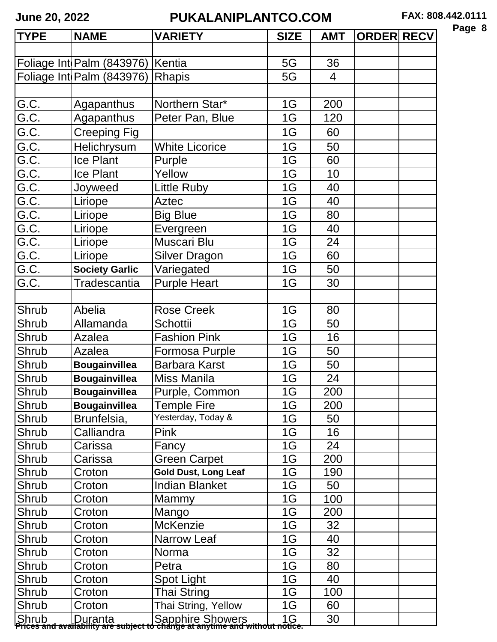|--|--|

| <b>TYPE</b> | <b>NAME</b>                      | <b>VARIETY</b>                                                                                                          | <b>SIZE</b> | <b>AMT</b>     | <b>ORDER RECV</b> |  |
|-------------|----------------------------------|-------------------------------------------------------------------------------------------------------------------------|-------------|----------------|-------------------|--|
|             |                                  |                                                                                                                         |             |                |                   |  |
|             | Foliage Int Palm (843976) Kentia |                                                                                                                         | 5G          | 36             |                   |  |
|             | Foliage Int Palm (843976)        | Rhapis                                                                                                                  | 5G          | $\overline{4}$ |                   |  |
|             |                                  |                                                                                                                         |             |                |                   |  |
| G.C.        | Agapanthus                       | Northern Star*                                                                                                          | 1G          | 200            |                   |  |
| G.C.        | Agapanthus                       | Peter Pan, Blue                                                                                                         | 1G          | 120            |                   |  |
| G.C.        | Creeping Fig                     |                                                                                                                         | 1G          | 60             |                   |  |
| G.C.        | Helichrysum                      | <b>White Licorice</b>                                                                                                   | 1G          | 50             |                   |  |
| G.C.        | <b>Ice Plant</b>                 | Purple                                                                                                                  | 1G          | 60             |                   |  |
| G.C.        | Ice Plant                        | Yellow                                                                                                                  | 1G          | 10             |                   |  |
| G.C.        | Joyweed                          | ittle Ruby                                                                                                              | 1G          | 40             |                   |  |
| G.C.        | Liriope                          | <b>Aztec</b>                                                                                                            | 1G          | 40             |                   |  |
| G.C.        | Liriope                          | <b>Big Blue</b>                                                                                                         | 1G          | 80             |                   |  |
| G.C.        | Liriope                          | Evergreen                                                                                                               | 1G          | 40             |                   |  |
| G.C.        | Liriope                          | Muscari Blu                                                                                                             | 1G          | 24             |                   |  |
| G.C.        | Liriope                          | <b>Silver Dragon</b>                                                                                                    | 1G          | 60             |                   |  |
| G.C.        | <b>Society Garlic</b>            | Variegated                                                                                                              | 1G          | 50             |                   |  |
| G.C.        | Tradescantia                     | <b>Purple Heart</b>                                                                                                     | 1G          | 30             |                   |  |
|             |                                  |                                                                                                                         |             |                |                   |  |
| Shrub       | Abelia                           | <b>Rose Creek</b>                                                                                                       | 1G          | 80             |                   |  |
| Shrub       | Allamanda                        | <b>Schottii</b>                                                                                                         | 1G          | 50             |                   |  |
| Shrub       | Azalea                           | <b>Fashion Pink</b>                                                                                                     | 1G          | 16             |                   |  |
| Shrub       | <b>Azalea</b>                    | Formosa Purple                                                                                                          | 1G          | 50             |                   |  |
| Shrub       | <b>Bougainvillea</b>             | <b>Barbara Karst</b>                                                                                                    | 1G          | 50             |                   |  |
| Shrub       | <b>Bougainvillea</b>             | Miss Manila                                                                                                             | 1G          | 24             |                   |  |
| Shrub       | <b>Bougainvillea</b>             | Purple, Common                                                                                                          | 1G          | 200            |                   |  |
| Shrub       | <b>Bougainvillea</b>             | <b>Temple Fire</b>                                                                                                      | 1G          | 200            |                   |  |
| Shrub       | Brunfelsia,                      | Yesterday, Today &                                                                                                      | 1G          | 50             |                   |  |
| Shrub       | Calliandra                       | <b>Pink</b>                                                                                                             | 1G          | 16             |                   |  |
| Shrub       | Carissa                          | Fancy                                                                                                                   | 1G          | 24             |                   |  |
| Shrub       | Carissa                          | <b>Green Carpet</b>                                                                                                     | 1G          | 200            |                   |  |
| Shrub       | Croton                           | <b>Gold Dust, Long Leaf</b>                                                                                             | 1G          | 190            |                   |  |
| Shrub       | Croton                           | Indian Blanket                                                                                                          | 1G          | 50             |                   |  |
| Shrub       | Croton                           | Mammy                                                                                                                   | 1G          | 100            |                   |  |
| Shrub       | Croton                           | Mango                                                                                                                   | 1G          | 200            |                   |  |
| Shrub       | Croton                           | <b>McKenzie</b>                                                                                                         | 1G          | 32             |                   |  |
| Shrub       | Croton                           | Narrow Leaf                                                                                                             | 1G          | 40             |                   |  |
| Shrub       | Croton                           | Norma                                                                                                                   | 1G          | 32             |                   |  |
| Shrub       | Croton                           | Petra                                                                                                                   | 1G          | 80             |                   |  |
| Shrub       | Croton                           | Spot Light                                                                                                              | 1G          | 40             |                   |  |
| Shrub       | Croton                           | Thai String                                                                                                             | 1G          | 100            |                   |  |
| Shrub       | Croton                           | Thai String, Yellow                                                                                                     | 1G          | 60             |                   |  |
|             |                                  | Shrub   Duranta   Sapphire Showers   1G<br>Prices and availability are subject to change at anytime and without notice. |             | 30             |                   |  |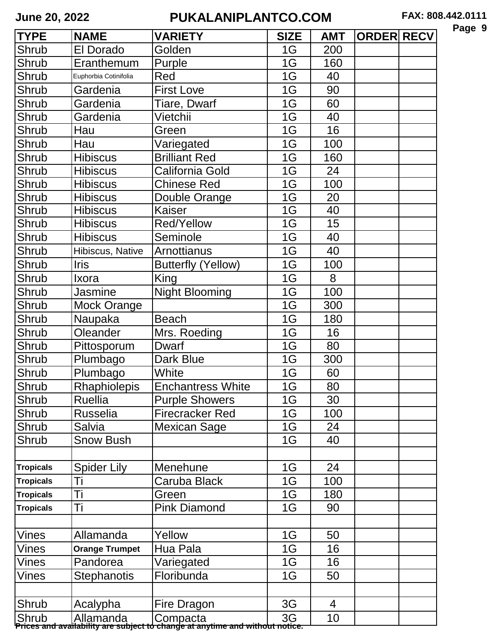| -<br>Ю<br>Ω<br>л<br>а |  |
|-----------------------|--|
|-----------------------|--|

| El Dorado<br>Golden<br>1G<br>Shrub<br>200<br>Eranthemum<br>1G<br>160<br>Shrub<br>Purple<br>Shrub<br>1G<br>Red<br>40<br>Euphorbia Cotinifolia<br>Gardenia<br>1G<br>90<br>Shrub<br><b>First Love</b><br>1G<br>Shrub<br>Gardenia<br>Tiare, Dwarf<br>60<br>Vietchii<br>Gardenia<br>1G<br>40<br>Shrub<br>1G<br>16<br>Shrub<br>Hau<br>Green<br>1G<br>Shrub<br>Variegated<br>100<br>Hau<br><b>Hibiscus</b><br><b>Brilliant Red</b><br>1G<br>Shrub<br>160<br>1G<br>Shrub<br><b>Hibiscus</b><br>California Gold<br>24<br>Shrub<br><b>Hibiscus</b><br>1G<br>100<br>Chinese Red<br>1G<br>20<br>Shrub<br><b>Hibiscus</b><br>Double Orange<br>1G<br>Shrub<br><b>Hibiscus</b><br>Kaiser<br>40<br><b>Hibiscus</b><br>15<br>Shrub<br><b>Red/Yellow</b><br>1G<br>1G<br>Shrub<br><b>Hibiscus</b><br>40<br>Seminole<br>Shrub<br>1G<br><b>Arnottianus</b><br>40<br>Hibiscus, Native<br>Shrub<br><b>Iris</b><br>1G<br>100<br><b>Butterfly (Yellow)</b><br>1G<br>Shrub<br>8<br>King<br>Ixora<br>100<br>Shrub<br>Jasmine<br><b>Night Blooming</b><br>1G<br>1G<br>300<br>Shrub<br>Mock Orange<br>Shrub<br>1G<br>Naupaka<br>180<br><b>Beach</b><br>1G<br>Shrub<br>Oleander<br>Mrs. Roeding<br>16<br><b>Dwarf</b><br>1G<br>80<br>Shrub<br>Pittosporum<br>1G<br>Shrub<br>Plumbago<br>300<br>Dark Blue<br>White<br>1G<br>Shrub<br>Plumbago<br>60<br><b>Rhaphiolepis</b><br>Shrub<br><b>Enchantress White</b><br>1G<br>80<br>Shrub<br>30<br>Ruellia<br><b>Purple Showers</b><br>1G<br><b>Russelia</b><br><b>Firecracker Red</b><br>Shrub<br>1G<br>100<br>1G<br>Shrub<br>24<br>Salvia<br>Mexican Sage<br><b>Snow Bush</b><br>Shrub<br>1G<br>40<br><b>Spider Lily</b><br>Menehune<br>1G<br>24<br><b>Tropicals</b><br>1G<br>Ti<br>100<br>Caruba Black<br><b>Tropicals</b><br>Ti<br>1G<br>180<br><b>Tropicals</b><br>Green<br>Τi<br><b>Pink Diamond</b><br>1G<br>90<br><b>Tropicals</b><br><b>Vines</b><br>Allamanda<br>Yellow<br>1G<br>50<br>1G<br>16<br>Hua Pala<br>Vines<br><b>Orange Trumpet</b><br>1G<br>16<br>Pandorea<br>Vines<br>Variegated | <b>TYPE</b> | <b>NAME</b> | <b>VARIETY</b> | <b>SIZE</b> | <b>AMT</b> | <b>ORDER RECV</b> |  |
|--------------------------------------------------------------------------------------------------------------------------------------------------------------------------------------------------------------------------------------------------------------------------------------------------------------------------------------------------------------------------------------------------------------------------------------------------------------------------------------------------------------------------------------------------------------------------------------------------------------------------------------------------------------------------------------------------------------------------------------------------------------------------------------------------------------------------------------------------------------------------------------------------------------------------------------------------------------------------------------------------------------------------------------------------------------------------------------------------------------------------------------------------------------------------------------------------------------------------------------------------------------------------------------------------------------------------------------------------------------------------------------------------------------------------------------------------------------------------------------------------------------------------------------------------------------------------------------------------------------------------------------------------------------------------------------------------------------------------------------------------------------------------------------------------------------------------------------------------------------------------------------------------------------------------------------------------------------------------------------------------------------------|-------------|-------------|----------------|-------------|------------|-------------------|--|
|                                                                                                                                                                                                                                                                                                                                                                                                                                                                                                                                                                                                                                                                                                                                                                                                                                                                                                                                                                                                                                                                                                                                                                                                                                                                                                                                                                                                                                                                                                                                                                                                                                                                                                                                                                                                                                                                                                                                                                                                                    |             |             |                |             |            |                   |  |
|                                                                                                                                                                                                                                                                                                                                                                                                                                                                                                                                                                                                                                                                                                                                                                                                                                                                                                                                                                                                                                                                                                                                                                                                                                                                                                                                                                                                                                                                                                                                                                                                                                                                                                                                                                                                                                                                                                                                                                                                                    |             |             |                |             |            |                   |  |
|                                                                                                                                                                                                                                                                                                                                                                                                                                                                                                                                                                                                                                                                                                                                                                                                                                                                                                                                                                                                                                                                                                                                                                                                                                                                                                                                                                                                                                                                                                                                                                                                                                                                                                                                                                                                                                                                                                                                                                                                                    |             |             |                |             |            |                   |  |
|                                                                                                                                                                                                                                                                                                                                                                                                                                                                                                                                                                                                                                                                                                                                                                                                                                                                                                                                                                                                                                                                                                                                                                                                                                                                                                                                                                                                                                                                                                                                                                                                                                                                                                                                                                                                                                                                                                                                                                                                                    |             |             |                |             |            |                   |  |
|                                                                                                                                                                                                                                                                                                                                                                                                                                                                                                                                                                                                                                                                                                                                                                                                                                                                                                                                                                                                                                                                                                                                                                                                                                                                                                                                                                                                                                                                                                                                                                                                                                                                                                                                                                                                                                                                                                                                                                                                                    |             |             |                |             |            |                   |  |
|                                                                                                                                                                                                                                                                                                                                                                                                                                                                                                                                                                                                                                                                                                                                                                                                                                                                                                                                                                                                                                                                                                                                                                                                                                                                                                                                                                                                                                                                                                                                                                                                                                                                                                                                                                                                                                                                                                                                                                                                                    |             |             |                |             |            |                   |  |
|                                                                                                                                                                                                                                                                                                                                                                                                                                                                                                                                                                                                                                                                                                                                                                                                                                                                                                                                                                                                                                                                                                                                                                                                                                                                                                                                                                                                                                                                                                                                                                                                                                                                                                                                                                                                                                                                                                                                                                                                                    |             |             |                |             |            |                   |  |
|                                                                                                                                                                                                                                                                                                                                                                                                                                                                                                                                                                                                                                                                                                                                                                                                                                                                                                                                                                                                                                                                                                                                                                                                                                                                                                                                                                                                                                                                                                                                                                                                                                                                                                                                                                                                                                                                                                                                                                                                                    |             |             |                |             |            |                   |  |
|                                                                                                                                                                                                                                                                                                                                                                                                                                                                                                                                                                                                                                                                                                                                                                                                                                                                                                                                                                                                                                                                                                                                                                                                                                                                                                                                                                                                                                                                                                                                                                                                                                                                                                                                                                                                                                                                                                                                                                                                                    |             |             |                |             |            |                   |  |
|                                                                                                                                                                                                                                                                                                                                                                                                                                                                                                                                                                                                                                                                                                                                                                                                                                                                                                                                                                                                                                                                                                                                                                                                                                                                                                                                                                                                                                                                                                                                                                                                                                                                                                                                                                                                                                                                                                                                                                                                                    |             |             |                |             |            |                   |  |
|                                                                                                                                                                                                                                                                                                                                                                                                                                                                                                                                                                                                                                                                                                                                                                                                                                                                                                                                                                                                                                                                                                                                                                                                                                                                                                                                                                                                                                                                                                                                                                                                                                                                                                                                                                                                                                                                                                                                                                                                                    |             |             |                |             |            |                   |  |
|                                                                                                                                                                                                                                                                                                                                                                                                                                                                                                                                                                                                                                                                                                                                                                                                                                                                                                                                                                                                                                                                                                                                                                                                                                                                                                                                                                                                                                                                                                                                                                                                                                                                                                                                                                                                                                                                                                                                                                                                                    |             |             |                |             |            |                   |  |
|                                                                                                                                                                                                                                                                                                                                                                                                                                                                                                                                                                                                                                                                                                                                                                                                                                                                                                                                                                                                                                                                                                                                                                                                                                                                                                                                                                                                                                                                                                                                                                                                                                                                                                                                                                                                                                                                                                                                                                                                                    |             |             |                |             |            |                   |  |
|                                                                                                                                                                                                                                                                                                                                                                                                                                                                                                                                                                                                                                                                                                                                                                                                                                                                                                                                                                                                                                                                                                                                                                                                                                                                                                                                                                                                                                                                                                                                                                                                                                                                                                                                                                                                                                                                                                                                                                                                                    |             |             |                |             |            |                   |  |
|                                                                                                                                                                                                                                                                                                                                                                                                                                                                                                                                                                                                                                                                                                                                                                                                                                                                                                                                                                                                                                                                                                                                                                                                                                                                                                                                                                                                                                                                                                                                                                                                                                                                                                                                                                                                                                                                                                                                                                                                                    |             |             |                |             |            |                   |  |
|                                                                                                                                                                                                                                                                                                                                                                                                                                                                                                                                                                                                                                                                                                                                                                                                                                                                                                                                                                                                                                                                                                                                                                                                                                                                                                                                                                                                                                                                                                                                                                                                                                                                                                                                                                                                                                                                                                                                                                                                                    |             |             |                |             |            |                   |  |
|                                                                                                                                                                                                                                                                                                                                                                                                                                                                                                                                                                                                                                                                                                                                                                                                                                                                                                                                                                                                                                                                                                                                                                                                                                                                                                                                                                                                                                                                                                                                                                                                                                                                                                                                                                                                                                                                                                                                                                                                                    |             |             |                |             |            |                   |  |
|                                                                                                                                                                                                                                                                                                                                                                                                                                                                                                                                                                                                                                                                                                                                                                                                                                                                                                                                                                                                                                                                                                                                                                                                                                                                                                                                                                                                                                                                                                                                                                                                                                                                                                                                                                                                                                                                                                                                                                                                                    |             |             |                |             |            |                   |  |
|                                                                                                                                                                                                                                                                                                                                                                                                                                                                                                                                                                                                                                                                                                                                                                                                                                                                                                                                                                                                                                                                                                                                                                                                                                                                                                                                                                                                                                                                                                                                                                                                                                                                                                                                                                                                                                                                                                                                                                                                                    |             |             |                |             |            |                   |  |
|                                                                                                                                                                                                                                                                                                                                                                                                                                                                                                                                                                                                                                                                                                                                                                                                                                                                                                                                                                                                                                                                                                                                                                                                                                                                                                                                                                                                                                                                                                                                                                                                                                                                                                                                                                                                                                                                                                                                                                                                                    |             |             |                |             |            |                   |  |
|                                                                                                                                                                                                                                                                                                                                                                                                                                                                                                                                                                                                                                                                                                                                                                                                                                                                                                                                                                                                                                                                                                                                                                                                                                                                                                                                                                                                                                                                                                                                                                                                                                                                                                                                                                                                                                                                                                                                                                                                                    |             |             |                |             |            |                   |  |
|                                                                                                                                                                                                                                                                                                                                                                                                                                                                                                                                                                                                                                                                                                                                                                                                                                                                                                                                                                                                                                                                                                                                                                                                                                                                                                                                                                                                                                                                                                                                                                                                                                                                                                                                                                                                                                                                                                                                                                                                                    |             |             |                |             |            |                   |  |
|                                                                                                                                                                                                                                                                                                                                                                                                                                                                                                                                                                                                                                                                                                                                                                                                                                                                                                                                                                                                                                                                                                                                                                                                                                                                                                                                                                                                                                                                                                                                                                                                                                                                                                                                                                                                                                                                                                                                                                                                                    |             |             |                |             |            |                   |  |
|                                                                                                                                                                                                                                                                                                                                                                                                                                                                                                                                                                                                                                                                                                                                                                                                                                                                                                                                                                                                                                                                                                                                                                                                                                                                                                                                                                                                                                                                                                                                                                                                                                                                                                                                                                                                                                                                                                                                                                                                                    |             |             |                |             |            |                   |  |
|                                                                                                                                                                                                                                                                                                                                                                                                                                                                                                                                                                                                                                                                                                                                                                                                                                                                                                                                                                                                                                                                                                                                                                                                                                                                                                                                                                                                                                                                                                                                                                                                                                                                                                                                                                                                                                                                                                                                                                                                                    |             |             |                |             |            |                   |  |
|                                                                                                                                                                                                                                                                                                                                                                                                                                                                                                                                                                                                                                                                                                                                                                                                                                                                                                                                                                                                                                                                                                                                                                                                                                                                                                                                                                                                                                                                                                                                                                                                                                                                                                                                                                                                                                                                                                                                                                                                                    |             |             |                |             |            |                   |  |
|                                                                                                                                                                                                                                                                                                                                                                                                                                                                                                                                                                                                                                                                                                                                                                                                                                                                                                                                                                                                                                                                                                                                                                                                                                                                                                                                                                                                                                                                                                                                                                                                                                                                                                                                                                                                                                                                                                                                                                                                                    |             |             |                |             |            |                   |  |
|                                                                                                                                                                                                                                                                                                                                                                                                                                                                                                                                                                                                                                                                                                                                                                                                                                                                                                                                                                                                                                                                                                                                                                                                                                                                                                                                                                                                                                                                                                                                                                                                                                                                                                                                                                                                                                                                                                                                                                                                                    |             |             |                |             |            |                   |  |
|                                                                                                                                                                                                                                                                                                                                                                                                                                                                                                                                                                                                                                                                                                                                                                                                                                                                                                                                                                                                                                                                                                                                                                                                                                                                                                                                                                                                                                                                                                                                                                                                                                                                                                                                                                                                                                                                                                                                                                                                                    |             |             |                |             |            |                   |  |
|                                                                                                                                                                                                                                                                                                                                                                                                                                                                                                                                                                                                                                                                                                                                                                                                                                                                                                                                                                                                                                                                                                                                                                                                                                                                                                                                                                                                                                                                                                                                                                                                                                                                                                                                                                                                                                                                                                                                                                                                                    |             |             |                |             |            |                   |  |
|                                                                                                                                                                                                                                                                                                                                                                                                                                                                                                                                                                                                                                                                                                                                                                                                                                                                                                                                                                                                                                                                                                                                                                                                                                                                                                                                                                                                                                                                                                                                                                                                                                                                                                                                                                                                                                                                                                                                                                                                                    |             |             |                |             |            |                   |  |
|                                                                                                                                                                                                                                                                                                                                                                                                                                                                                                                                                                                                                                                                                                                                                                                                                                                                                                                                                                                                                                                                                                                                                                                                                                                                                                                                                                                                                                                                                                                                                                                                                                                                                                                                                                                                                                                                                                                                                                                                                    |             |             |                |             |            |                   |  |
|                                                                                                                                                                                                                                                                                                                                                                                                                                                                                                                                                                                                                                                                                                                                                                                                                                                                                                                                                                                                                                                                                                                                                                                                                                                                                                                                                                                                                                                                                                                                                                                                                                                                                                                                                                                                                                                                                                                                                                                                                    |             |             |                |             |            |                   |  |
|                                                                                                                                                                                                                                                                                                                                                                                                                                                                                                                                                                                                                                                                                                                                                                                                                                                                                                                                                                                                                                                                                                                                                                                                                                                                                                                                                                                                                                                                                                                                                                                                                                                                                                                                                                                                                                                                                                                                                                                                                    |             |             |                |             |            |                   |  |
|                                                                                                                                                                                                                                                                                                                                                                                                                                                                                                                                                                                                                                                                                                                                                                                                                                                                                                                                                                                                                                                                                                                                                                                                                                                                                                                                                                                                                                                                                                                                                                                                                                                                                                                                                                                                                                                                                                                                                                                                                    |             |             |                |             |            |                   |  |
|                                                                                                                                                                                                                                                                                                                                                                                                                                                                                                                                                                                                                                                                                                                                                                                                                                                                                                                                                                                                                                                                                                                                                                                                                                                                                                                                                                                                                                                                                                                                                                                                                                                                                                                                                                                                                                                                                                                                                                                                                    |             |             |                |             |            |                   |  |
|                                                                                                                                                                                                                                                                                                                                                                                                                                                                                                                                                                                                                                                                                                                                                                                                                                                                                                                                                                                                                                                                                                                                                                                                                                                                                                                                                                                                                                                                                                                                                                                                                                                                                                                                                                                                                                                                                                                                                                                                                    |             |             |                |             |            |                   |  |
|                                                                                                                                                                                                                                                                                                                                                                                                                                                                                                                                                                                                                                                                                                                                                                                                                                                                                                                                                                                                                                                                                                                                                                                                                                                                                                                                                                                                                                                                                                                                                                                                                                                                                                                                                                                                                                                                                                                                                                                                                    |             |             |                |             |            |                   |  |
|                                                                                                                                                                                                                                                                                                                                                                                                                                                                                                                                                                                                                                                                                                                                                                                                                                                                                                                                                                                                                                                                                                                                                                                                                                                                                                                                                                                                                                                                                                                                                                                                                                                                                                                                                                                                                                                                                                                                                                                                                    |             |             |                |             |            |                   |  |
| Floribunda<br>1G<br>50<br><b>Stephanotis</b><br>Vines                                                                                                                                                                                                                                                                                                                                                                                                                                                                                                                                                                                                                                                                                                                                                                                                                                                                                                                                                                                                                                                                                                                                                                                                                                                                                                                                                                                                                                                                                                                                                                                                                                                                                                                                                                                                                                                                                                                                                              |             |             |                |             |            |                   |  |
|                                                                                                                                                                                                                                                                                                                                                                                                                                                                                                                                                                                                                                                                                                                                                                                                                                                                                                                                                                                                                                                                                                                                                                                                                                                                                                                                                                                                                                                                                                                                                                                                                                                                                                                                                                                                                                                                                                                                                                                                                    |             |             |                |             |            |                   |  |
| Shrub<br>Acalypha<br>3G<br>Fire Dragon<br>4                                                                                                                                                                                                                                                                                                                                                                                                                                                                                                                                                                                                                                                                                                                                                                                                                                                                                                                                                                                                                                                                                                                                                                                                                                                                                                                                                                                                                                                                                                                                                                                                                                                                                                                                                                                                                                                                                                                                                                        |             |             |                |             |            |                   |  |
| Shrub   Allamanda   Compacta<br>Prices and availability are subject to change at anytime and without notice.<br>10                                                                                                                                                                                                                                                                                                                                                                                                                                                                                                                                                                                                                                                                                                                                                                                                                                                                                                                                                                                                                                                                                                                                                                                                                                                                                                                                                                                                                                                                                                                                                                                                                                                                                                                                                                                                                                                                                                 |             |             |                |             |            |                   |  |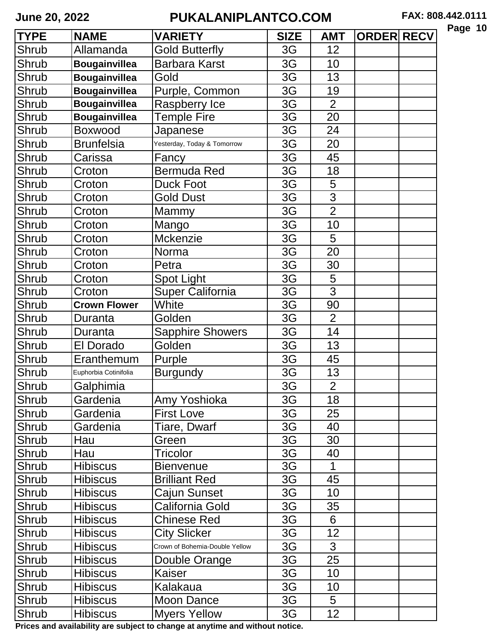| <b>TYPE</b> | <b>NAME</b>           | <b>VARIETY</b>                 | <b>SIZE</b> | <b>AMT</b>     | <b>ORDER RECV</b> |  |
|-------------|-----------------------|--------------------------------|-------------|----------------|-------------------|--|
| Shrub       | Allamanda             | <b>Gold Butterfly</b>          | 3G          | 12             |                   |  |
| Shrub       | <b>Bougainvillea</b>  | <b>Barbara Karst</b>           | 3G          | 10             |                   |  |
| Shrub       | <b>Bougainvillea</b>  | Gold                           | 3G          | 13             |                   |  |
| Shrub       | <b>Bougainvillea</b>  | Purple, Common                 | 3G          | 19             |                   |  |
| Shrub       | <b>Bougainvillea</b>  | Raspberry Ice                  | 3G          | $\overline{2}$ |                   |  |
| Shrub       | <b>Bougainvillea</b>  | <b>Temple Fire</b>             | 3G          | 20             |                   |  |
| Shrub       | <b>Boxwood</b>        | Japanese                       | 3G          | 24             |                   |  |
| Shrub       | <b>Brunfelsia</b>     | Yesterday, Today & Tomorrow    | 3G          | 20             |                   |  |
| Shrub       | Carissa               | Fancy                          | 3G          | 45             |                   |  |
| Shrub       | Croton                | Bermuda Red                    | 3G          | 18             |                   |  |
| Shrub       | Croton                | <b>Duck Foot</b>               | 3G          | 5              |                   |  |
| Shrub       | Croton                | <b>Gold Dust</b>               | 3G          | $\overline{3}$ |                   |  |
| Shrub       | Croton                | Mammy                          | 3G          | $\overline{2}$ |                   |  |
| Shrub       | Croton                | Mango                          | 3G          | 10             |                   |  |
| Shrub       | Croton                | Mckenzie                       | 3G          | 5              |                   |  |
| Shrub       | Croton                | Norma                          | 3G          | 20             |                   |  |
| Shrub       | Croton                | Petra                          | 3G          | 30             |                   |  |
| Shrub       | Croton                | <b>Spot Light</b>              | 3G          | 5              |                   |  |
| Shrub       | Croton                | <b>Super California</b>        | 3G          | 3              |                   |  |
| Shrub       | <b>Crown Flower</b>   | White                          | 3G          | 90             |                   |  |
| Shrub       | Duranta               | Golden                         | 3G          | $\overline{2}$ |                   |  |
| Shrub       | Duranta               | <b>Sapphire Showers</b>        | 3G          | 14             |                   |  |
| Shrub       | El Dorado             | Golden                         | 3G          | 13             |                   |  |
| Shrub       | Eranthemum            | Purple                         | 3G          | 45             |                   |  |
| Shrub       | Euphorbia Cotinifolia | <b>Burgundy</b>                | 3G          | 13             |                   |  |
| Shrub       | Galphimia             |                                | 3G          | $\overline{2}$ |                   |  |
| Shrub       | Gardenia              | Amy Yoshioka                   | 3G          | 18             |                   |  |
| Shrub       | Gardenia              | <b>First Love</b>              | 3G          | 25             |                   |  |
| Shrub       | Gardenia              | Tiare, Dwarf                   | 3G          | 40             |                   |  |
| Shrub       | Hau                   | Green                          | 3G          | 30             |                   |  |
| Shrub       | Hau                   | Tricolor                       | 3G          | 40             |                   |  |
| Shrub       | <b>Hibiscus</b>       | <b>Bienvenue</b>               | 3G          | 1              |                   |  |
| Shrub       | <b>Hibiscus</b>       | <b>Brilliant Red</b>           | 3G          | 45             |                   |  |
| Shrub       | <b>Hibiscus</b>       | Cajun Sunset                   | 3G          | 10             |                   |  |
| Shrub       | <b>Hibiscus</b>       | California Gold                | 3G          | 35             |                   |  |
| Shrub       | <b>Hibiscus</b>       | <b>Chinese Red</b>             | 3G          | 6              |                   |  |
| Shrub       | <b>Hibiscus</b>       | <b>City Slicker</b>            | 3G          | 12             |                   |  |
| Shrub       | <b>Hibiscus</b>       | Crown of Bohemia-Double Yellow | 3G          | $\overline{3}$ |                   |  |
| Shrub       | <b>Hibiscus</b>       | Double Orange                  | 3G          | 25             |                   |  |
| Shrub       | <b>Hibiscus</b>       | Kaiser                         | 3G          | 10             |                   |  |
| Shrub       | <b>Hibiscus</b>       | Kalakaua                       | 3G          | 10             |                   |  |
| Shrub       | <b>Hibiscus</b>       | <b>Moon Dance</b>              | 3G          | 5              |                   |  |
| Shrub       | <b>Hibiscus</b>       | <b>Myers Yellow</b>            | 3G          | 12             |                   |  |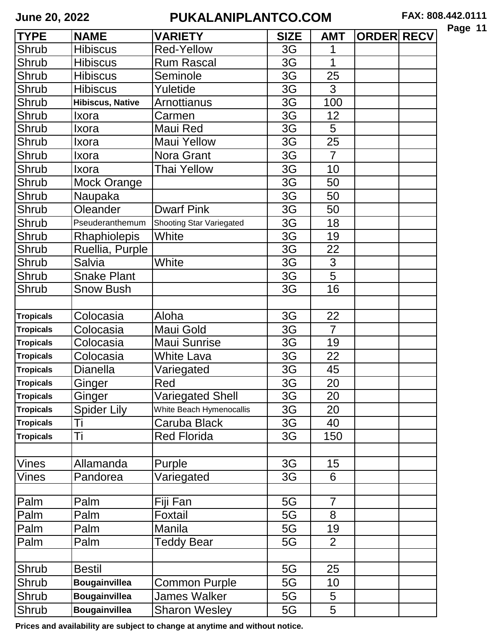| Page |  | 1 |
|------|--|---|
|------|--|---|

| <b>TYPE</b>      | <b>NAME</b>             | <b>VARIETY</b>                  | <b>SIZE</b> | <b>AMT</b>     | <b>ORDER RECV</b> |  |
|------------------|-------------------------|---------------------------------|-------------|----------------|-------------------|--|
| Shrub            | <b>Hibiscus</b>         | <b>Red-Yellow</b>               | 3G          |                |                   |  |
| Shrub            | <b>Hibiscus</b>         | <b>Rum Rascal</b>               | 3G          | 1              |                   |  |
| Shrub            | <b>Hibiscus</b>         | Seminole                        | 3G          | 25             |                   |  |
| <b>Shrub</b>     | <b>Hibiscus</b>         | Yuletide                        | 3G          | 3              |                   |  |
| Shrub            | <b>Hibiscus, Native</b> | <b>Arnottianus</b>              | 3G          | 100            |                   |  |
| Shrub            | Ixora                   | Carmen                          | 3G          | 12             |                   |  |
| Shrub            | Ixora                   | Maui Red                        | 3G          | 5              |                   |  |
| Shrub            | Ixora                   | <b>Maui Yellow</b>              | 3G          | 25             |                   |  |
| Shrub            | Ixora                   | Nora Grant                      | 3G          | $\overline{7}$ |                   |  |
| Shrub            | Ixora                   | Thai Yellow                     | 3G          | 10             |                   |  |
| Shrub            | <b>Mock Orange</b>      |                                 | 3G          | 50             |                   |  |
| <b>Shrub</b>     | Naupaka                 |                                 | 3G          | 50             |                   |  |
| Shrub            | Oleander                | <b>Dwarf Pink</b>               | 3G          | 50             |                   |  |
| Shrub            | Pseuderanthemum         | <b>Shooting Star Variegated</b> | 3G          | 18             |                   |  |
| Shrub            | Rhaphiolepis            | White                           | 3G          | 19             |                   |  |
| Shrub            | Ruellia, Purple         |                                 | 3G          | 22             |                   |  |
| Shrub            | Salvia                  | White                           | 3G          | 3              |                   |  |
| Shrub            | <b>Snake Plant</b>      |                                 | 3G          | 5              |                   |  |
| Shrub            | <b>Snow Bush</b>        |                                 | 3G          | 16             |                   |  |
|                  |                         |                                 |             |                |                   |  |
| <b>Tropicals</b> | Colocasia               | Aloha                           | 3G          | 22             |                   |  |
| <b>Tropicals</b> | Colocasia               | Maui Gold                       | 3G          | $\overline{7}$ |                   |  |
| <b>Tropicals</b> | Colocasia               | <b>Maui Sunrise</b>             | 3G          | 19             |                   |  |
| <b>Tropicals</b> | Colocasia               | <b>White Lava</b>               | 3G          | 22             |                   |  |
| <b>Tropicals</b> | <b>Dianella</b>         | Variegated                      | 3G          | 45             |                   |  |
| <b>Tropicals</b> | Ginger                  | Red                             | 3G          | 20             |                   |  |
| <b>Tropicals</b> | Ginger                  | <b>Variegated Shell</b>         | 3G          | 20             |                   |  |
| <b>Tropicals</b> | <b>Spider Lily</b>      | White Beach Hymenocallis        | 3G          | 20             |                   |  |
| <b>Tropicals</b> | Ti                      | Caruba Black                    | 3G          | 40             |                   |  |
| <b>Tropicals</b> | Τi                      | <b>Red Florida</b>              | 3G          | 150            |                   |  |
|                  |                         |                                 |             |                |                   |  |
| <b>Vines</b>     | Allamanda               | Purple                          | 3G          | 15             |                   |  |
| Vines            | Pandorea                | Variegated                      | 3G          | 6              |                   |  |
|                  |                         |                                 |             |                |                   |  |
| Palm             | Palm                    | Fiji Fan                        | 5G          | $\overline{7}$ |                   |  |
| Palm             | Palm                    | Foxtail                         | 5G          | 8              |                   |  |
| Palm             | Palm                    | Manila                          | 5G          | 19             |                   |  |
| Palm             | Palm                    | <b>Teddy Bear</b>               | 5G          | $\overline{2}$ |                   |  |
|                  |                         |                                 |             |                |                   |  |
| Shrub            | <b>Bestil</b>           |                                 | 5G          | 25             |                   |  |
| Shrub            | <b>Bougainvillea</b>    | Common Purple                   | 5G          | 10             |                   |  |
| Shrub            | <b>Bougainvillea</b>    | James Walker                    | 5G          | 5              |                   |  |
| Shrub            | <b>Bougainvillea</b>    | <b>Sharon Wesley</b>            | 5G          | 5              |                   |  |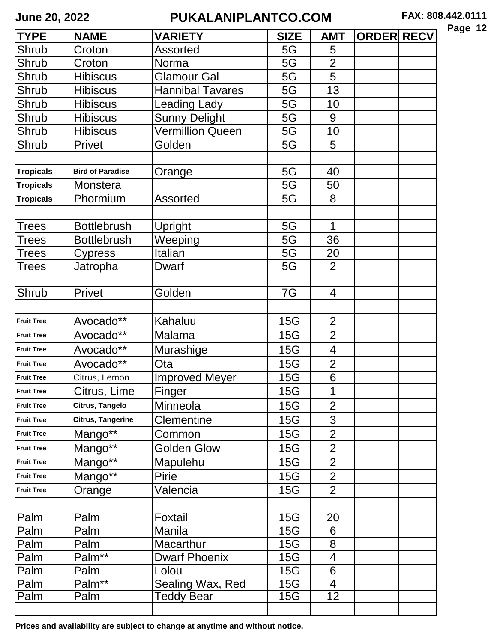| <b>TYPE</b>       | <b>NAME</b>              | <b>VARIETY</b>          | <b>SIZE</b> | <b>AMT</b>      | <b>ORDER RECV</b> |  |
|-------------------|--------------------------|-------------------------|-------------|-----------------|-------------------|--|
| Shrub             | Croton                   | <b>Assorted</b>         | 5G          | 5               |                   |  |
| Shrub             | Croton                   | Norma                   | 5G          | $\overline{2}$  |                   |  |
| Shrub             | <b>Hibiscus</b>          | <b>Glamour Gal</b>      | 5G          | 5               |                   |  |
| Shrub             | <b>Hibiscus</b>          | <b>Hannibal Tavares</b> | 5G          | 13              |                   |  |
| Shrub             | <b>Hibiscus</b>          | eading Lady.            | 5G          | 10              |                   |  |
| Shrub             | <b>Hibiscus</b>          | <b>Sunny Delight</b>    | 5G          | 9               |                   |  |
| Shrub             | <b>Hibiscus</b>          | <b>Vermillion Queen</b> | 5G          | 10              |                   |  |
| Shrub             | Privet                   | Golden                  | 5G          | 5               |                   |  |
|                   |                          |                         |             |                 |                   |  |
| <b>Tropicals</b>  | <b>Bird of Paradise</b>  | Orange                  | 5G          | 40              |                   |  |
| <b>Tropicals</b>  | Monstera                 |                         | 5G          | 50              |                   |  |
| <b>Tropicals</b>  | Phormium                 | <b>Assorted</b>         | 5G          | 8               |                   |  |
|                   |                          |                         |             |                 |                   |  |
| <b>Trees</b>      | <b>Bottlebrush</b>       | Upright                 | 5G          | 1               |                   |  |
| <b>Trees</b>      | <b>Bottlebrush</b>       | Weeping                 | 5G          | 36              |                   |  |
| Trees             | Cypress                  | Italian                 | 5G          | 20              |                   |  |
| <b>Trees</b>      | Jatropha                 | <b>Dwarf</b>            | 5G          | $\overline{2}$  |                   |  |
|                   |                          |                         |             |                 |                   |  |
| Shrub             | Privet                   | Golden                  | 7G          | $\overline{4}$  |                   |  |
|                   |                          |                         |             |                 |                   |  |
| <b>Fruit Tree</b> | Avocado**                | Kahaluu                 | 15G         | $\overline{2}$  |                   |  |
| <b>Fruit Tree</b> | Avocado**                | Malama                  | 15G         | $\overline{2}$  |                   |  |
| <b>Fruit Tree</b> | Avocado**                | Murashige               | 15G         | 4               |                   |  |
| <b>Fruit Tree</b> | Avocado**                | Ota                     | 15G         | $\overline{2}$  |                   |  |
| <b>Fruit Tree</b> | Citrus, Lemon            | <b>Improved Meyer</b>   | 15G         | 6               |                   |  |
| <b>Fruit Tree</b> | Citrus, Lime             | <b>Finger</b>           | <b>15G</b>  | $\overline{A}$  |                   |  |
| <b>Fruit Tree</b> | Citrus, Tangelo          | Minneola                | 15G         | $\overline{2}$  |                   |  |
| <b>Fruit Tree</b> | <b>Citrus, Tangerine</b> | <b>Clementine</b>       | 15G         | 3               |                   |  |
| <b>Fruit Tree</b> | Mango**                  | Common                  | 15G         | $\overline{2}$  |                   |  |
| <b>Fruit Tree</b> | Mango**                  | <b>Golden Glow</b>      | 15G         | $\overline{2}$  |                   |  |
| <b>Fruit Tree</b> | Mango**                  | Mapulehu                | 15G         | $\overline{2}$  |                   |  |
| <b>Fruit Tree</b> | Mango**                  | <b>Pirie</b>            | 15G         | $\overline{2}$  |                   |  |
| <b>Fruit Tree</b> | Orange                   | Valencia                | 15G         | $\overline{2}$  |                   |  |
|                   |                          |                         |             |                 |                   |  |
| Palm              | Palm                     | Foxtail                 | 15G         | 20              |                   |  |
| Palm              | Palm                     | Manila                  | 15G         | 6               |                   |  |
| Palm              | Palm                     | Macarthur               | 15G         | 8               |                   |  |
| Palm              | $Palm***$                | <b>Dwarf Phoenix</b>    | 15G         | $\overline{4}$  |                   |  |
| Palm              | Palm                     | Lolou                   | 15G         | 6               |                   |  |
| Palm              | Palm <sup>**</sup>       | Sealing Wax, Red        | 15G         | $\overline{4}$  |                   |  |
| Palm              | Palm                     | Teddy Bear              | 15G         | 12 <sub>2</sub> |                   |  |
|                   |                          |                         |             |                 |                   |  |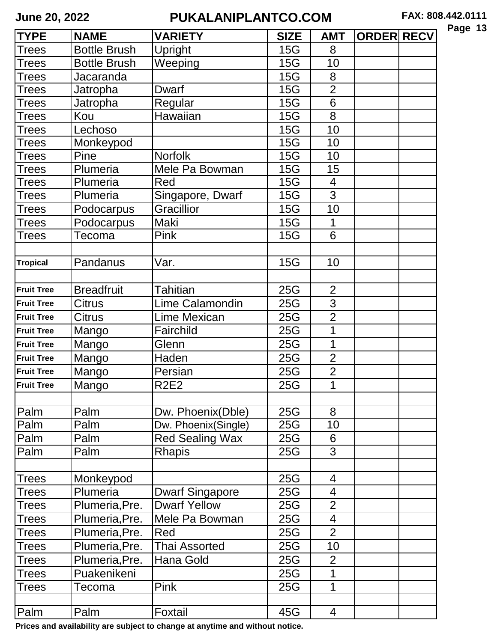| Page | 13 |
|------|----|
|------|----|

| <b>TYPE</b>       | <b>NAME</b>         | <b>VARIETY</b>         | <b>SIZE</b> | <b>AMT</b>               | <b>ORDER RECV</b> |  |
|-------------------|---------------------|------------------------|-------------|--------------------------|-------------------|--|
| Trees             | <b>Bottle Brush</b> | Upright                | 15G         | 8                        |                   |  |
| Trees             | <b>Bottle Brush</b> | Weeping                | <b>15G</b>  | 10                       |                   |  |
| Trees             | Jacaranda           |                        | 15G         | 8                        |                   |  |
| Trees             | Jatropha            | <b>Dwarf</b>           | <b>15G</b>  | $\overline{2}$           |                   |  |
| Trees             | Jatropha            | Regular                | <b>15G</b>  | 6                        |                   |  |
| Trees             | Kou                 | Hawaiian               | <b>15G</b>  | 8                        |                   |  |
| Trees             | Lechoso             |                        | 15G         | 10                       |                   |  |
| Trees             | Monkeypod           |                        | 15G         | 10                       |                   |  |
| Trees             | Pine                | <b>Norfolk</b>         | 15G         | 10                       |                   |  |
| Trees             | Plumeria            | Mele Pa Bowman         | 15G         | 15                       |                   |  |
| Trees             | Plumeria            | Red                    | <b>15G</b>  | $\overline{4}$           |                   |  |
| Trees             | Plumeria            | Singapore, Dwarf       | <b>15G</b>  | 3                        |                   |  |
| Trees             | Podocarpus          | Gracillior             | <b>15G</b>  | 10                       |                   |  |
| Trees             | Podocarpus          | Maki                   | 15G         | 1                        |                   |  |
| Trees             | Tecoma              | Pink                   | <b>15G</b>  | 6                        |                   |  |
|                   |                     |                        |             |                          |                   |  |
| <b>Tropical</b>   | Pandanus            | Var.                   | <b>15G</b>  | 10                       |                   |  |
|                   |                     |                        |             |                          |                   |  |
| <b>Fruit Tree</b> | <b>Breadfruit</b>   | Tahitian               | 25G         | $\overline{2}$           |                   |  |
| <b>Fruit Tree</b> | <b>Citrus</b>       | Lime Calamondin        | 25G         | $\overline{3}$           |                   |  |
| <b>Fruit Tree</b> | Citrus              | <b>Lime Mexican</b>    | 25G         | $\overline{2}$           |                   |  |
| <b>Fruit Tree</b> | Mango               | Fairchild              | 25G         | 1                        |                   |  |
| <b>Fruit Tree</b> | Mango               | Glenn                  | 25G         | 1                        |                   |  |
| <b>Fruit Tree</b> | Mango               | Haden                  | <b>25G</b>  | $\overline{2}$           |                   |  |
| <b>Fruit Tree</b> | Mango               | Persian                | 25G         | $\overline{2}$           |                   |  |
| <b>Fruit Tree</b> | Mango               | <b>R2E2</b>            | 25G         | 1                        |                   |  |
|                   |                     |                        |             |                          |                   |  |
| Palm              | Palm                | Dw. Phoenix(Dble)      | 25G         | 8                        |                   |  |
| Palm              | Palm                | Dw. Phoenix(Single)    | 25G         | 10                       |                   |  |
| Palm              | Palm                | <b>Red Sealing Wax</b> | 25G         | 6                        |                   |  |
| Palm              | Palm                | Rhapis                 | 25G         | 3                        |                   |  |
|                   |                     |                        |             |                          |                   |  |
| <b>Trees</b>      | Monkeypod           |                        | 25G         | $\overline{4}$           |                   |  |
| Trees             | Plumeria            | <b>Dwarf Singapore</b> | 25G         | 4                        |                   |  |
| <b>Trees</b>      | Plumeria, Pre.      | <b>Dwarf Yellow</b>    | 25G         | $\overline{2}$           |                   |  |
| Trees             | Plumeria, Pre.      | Mele Pa Bowman         | 25G         | $\overline{\mathcal{A}}$ |                   |  |
| Trees             | Plumeria, Pre.      | Red                    | 25G         | $\overline{2}$           |                   |  |
| <b>Trees</b>      | Plumeria, Pre.      | <b>Thai Assorted</b>   | 25G         | 10                       |                   |  |
| Trees             | Plumeria, Pre.      | Hana Gold              | 25G         | $\overline{2}$           |                   |  |
| Trees             | Puakenikeni         |                        | 25G         | 1                        |                   |  |
| <b>Trees</b>      | Tecoma              | <b>Pink</b>            | 25G         | $\mathbf 1$              |                   |  |
|                   |                     |                        |             |                          |                   |  |
| Palm              | Palm                | Foxtail                | 45G         | $\overline{4}$           |                   |  |